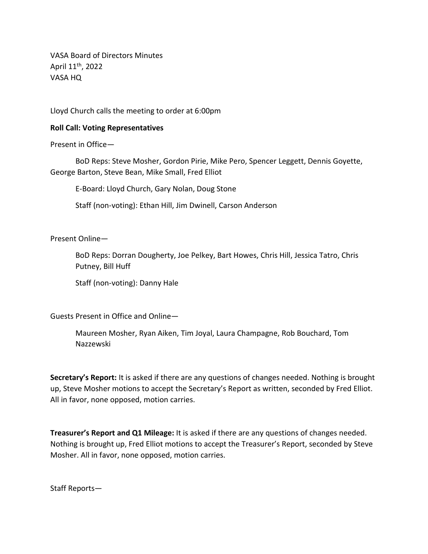VASA Board of Directors Minutes April 11<sup>th</sup>, 2022 VASA HQ

Lloyd Church calls the meeting to order at 6:00pm

## **Roll Call: Voting Representatives**

Present in Office—

BoD Reps: Steve Mosher, Gordon Pirie, Mike Pero, Spencer Leggett, Dennis Goyette, George Barton, Steve Bean, Mike Small, Fred Elliot

E-Board: Lloyd Church, Gary Nolan, Doug Stone

Staff (non-voting): Ethan Hill, Jim Dwinell, Carson Anderson

Present Online—

BoD Reps: Dorran Dougherty, Joe Pelkey, Bart Howes, Chris Hill, Jessica Tatro, Chris Putney, Bill Huff

Staff (non-voting): Danny Hale

Guests Present in Office and Online—

Maureen Mosher, Ryan Aiken, Tim Joyal, Laura Champagne, Rob Bouchard, Tom Nazzewski

**Secretary's Report:** It is asked if there are any questions of changes needed. Nothing is brought up, Steve Mosher motions to accept the Secretary's Report as written, seconded by Fred Elliot. All in favor, none opposed, motion carries.

**Treasurer's Report and Q1 Mileage:** It is asked if there are any questions of changes needed. Nothing is brought up, Fred Elliot motions to accept the Treasurer's Report, seconded by Steve Mosher. All in favor, none opposed, motion carries.

Staff Reports—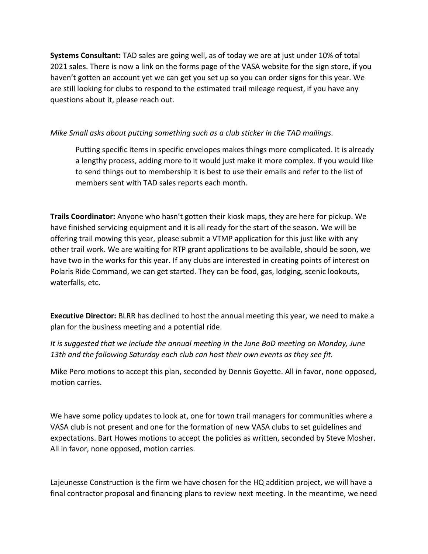**Systems Consultant:** TAD sales are going well, as of today we are at just under 10% of total 2021 sales. There is now a link on the forms page of the VASA website for the sign store, if you haven't gotten an account yet we can get you set up so you can order signs for this year. We are still looking for clubs to respond to the estimated trail mileage request, if you have any questions about it, please reach out.

## *Mike Small asks about putting something such as a club sticker in the TAD mailings.*

Putting specific items in specific envelopes makes things more complicated. It is already a lengthy process, adding more to it would just make it more complex. If you would like to send things out to membership it is best to use their emails and refer to the list of members sent with TAD sales reports each month.

**Trails Coordinator:** Anyone who hasn't gotten their kiosk maps, they are here for pickup. We have finished servicing equipment and it is all ready for the start of the season. We will be offering trail mowing this year, please submit a VTMP application for this just like with any other trail work. We are waiting for RTP grant applications to be available, should be soon, we have two in the works for this year. If any clubs are interested in creating points of interest on Polaris Ride Command, we can get started. They can be food, gas, lodging, scenic lookouts, waterfalls, etc.

**Executive Director:** BLRR has declined to host the annual meeting this year, we need to make a plan for the business meeting and a potential ride.

*It is suggested that we include the annual meeting in the June BoD meeting on Monday, June 13th and the following Saturday each club can host their own events as they see fit.*

Mike Pero motions to accept this plan, seconded by Dennis Goyette. All in favor, none opposed, motion carries.

We have some policy updates to look at, one for town trail managers for communities where a VASA club is not present and one for the formation of new VASA clubs to set guidelines and expectations. Bart Howes motions to accept the policies as written, seconded by Steve Mosher. All in favor, none opposed, motion carries.

Lajeunesse Construction is the firm we have chosen for the HQ addition project, we will have a final contractor proposal and financing plans to review next meeting. In the meantime, we need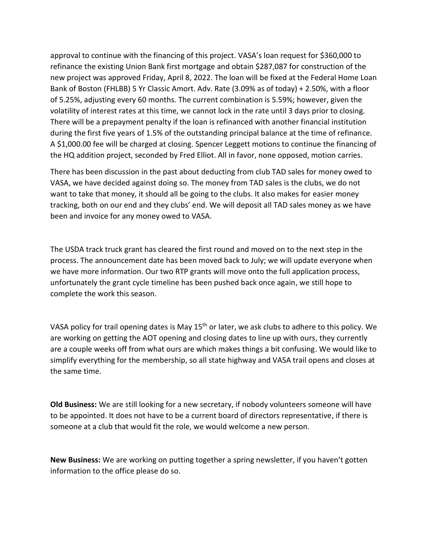approval to continue with the financing of this project. VASA's loan request for \$360,000 to refinance the existing Union Bank first mortgage and obtain \$287,087 for construction of the new project was approved Friday, April 8, 2022. The loan will be fixed at the Federal Home Loan Bank of Boston (FHLBB) 5 Yr Classic Amort. Adv. Rate (3.09% as of today) + 2.50%, with a floor of 5.25%, adjusting every 60 months. The current combination is 5.59%; however, given the volatility of interest rates at this time, we cannot lock in the rate until 3 days prior to closing. There will be a prepayment penalty if the loan is refinanced with another financial institution during the first five years of 1.5% of the outstanding principal balance at the time of refinance. A \$1,000.00 fee will be charged at closing. Spencer Leggett motions to continue the financing of the HQ addition project, seconded by Fred Elliot. All in favor, none opposed, motion carries.

There has been discussion in the past about deducting from club TAD sales for money owed to VASA, we have decided against doing so. The money from TAD sales is the clubs, we do not want to take that money, it should all be going to the clubs. It also makes for easier money tracking, both on our end and they clubs' end. We will deposit all TAD sales money as we have been and invoice for any money owed to VASA.

The USDA track truck grant has cleared the first round and moved on to the next step in the process. The announcement date has been moved back to July; we will update everyone when we have more information. Our two RTP grants will move onto the full application process, unfortunately the grant cycle timeline has been pushed back once again, we still hope to complete the work this season.

VASA policy for trail opening dates is May 15<sup>th</sup> or later, we ask clubs to adhere to this policy. We are working on getting the AOT opening and closing dates to line up with ours, they currently are a couple weeks off from what ours are which makes things a bit confusing. We would like to simplify everything for the membership, so all state highway and VASA trail opens and closes at the same time.

**Old Business:** We are still looking for a new secretary, if nobody volunteers someone will have to be appointed. It does not have to be a current board of directors representative, if there is someone at a club that would fit the role, we would welcome a new person.

**New Business:** We are working on putting together a spring newsletter, if you haven't gotten information to the office please do so.